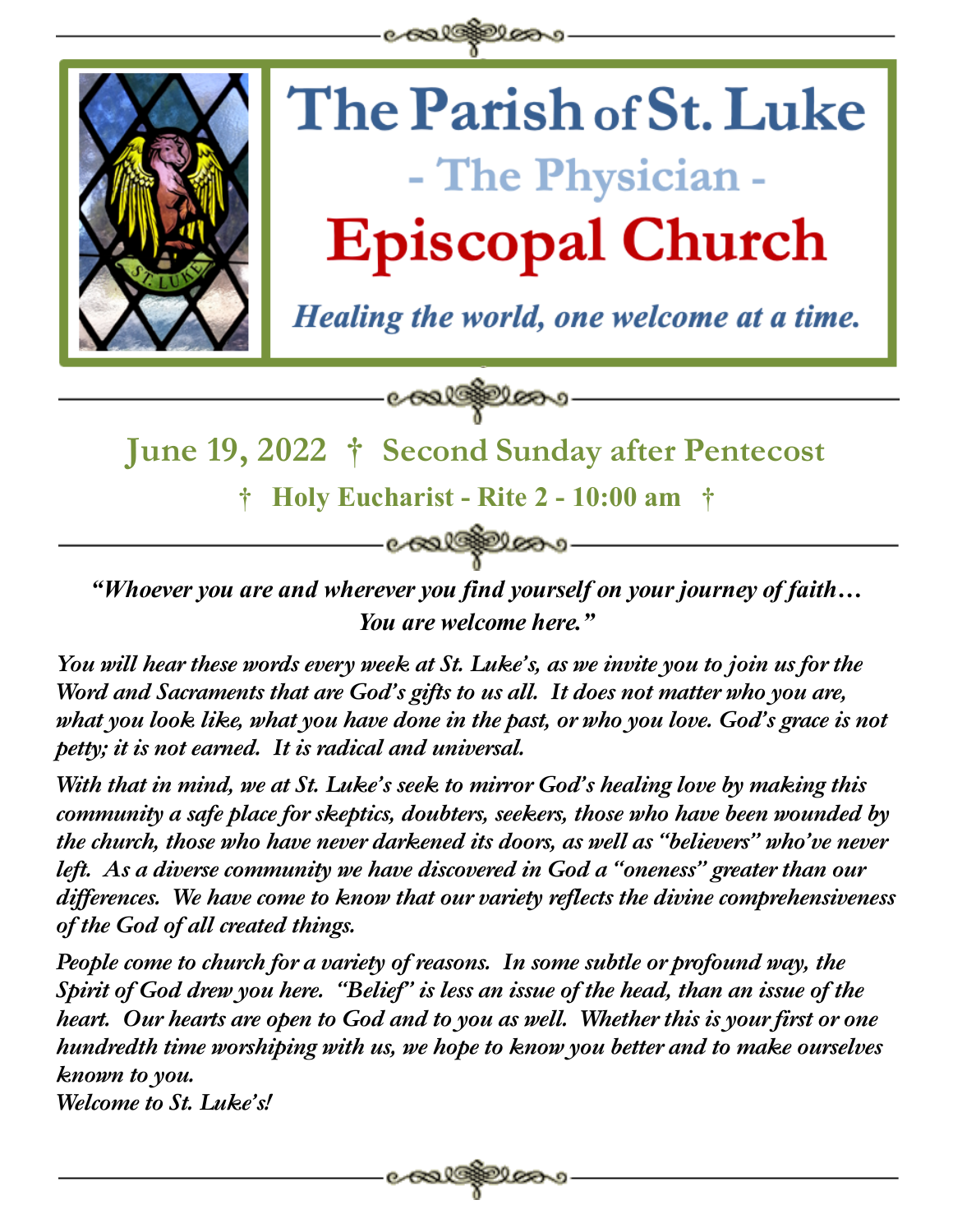

# The Parish of St. Luke - The Physician -**Episcopal Church**

Healing the world, one welcome at a time.

**June 19, 2022 † Second Sunday after Pentecost † Holy Eucharist - Rite 2 - 10:00 am † ಲಂಬಿ** ಕೋರಿ ಕೊಂಡಿದ್ದಾರೆ.

ಀೕೲ಄಄಄ಀ

ನಾಡಿಲಾ

*"Whoever you are and wherever you find yourself on your journey of faith… You are welcome here."*

*You will hear these words every week at St. Luke's, as we invite you to join us for the Word and Sacraments that are God's gifts to us all. It does not matter who you are, what you look like, what you have done in the past, or who you love. God's grace is not petty; it is not earned. It is radical and universal.*

*With that in mind, we at St. Luke's seek to mirror God's healing love by making this community a safe place for skeptics, doubters, seekers, those who have been wounded by the church, those who have never darkened its doors, as well as "believers" who've never left. As a diverse community we have discovered in God a "oneness" greater than our dif erences. We have come to know that our variety reflects the divine comprehensiveness of the God of all created things.*

*People come to church for a variety of reasons. In some subtle or profound way, the Spirit of God drew you here. "Belief" is less an issue of the head, than an issue of the heart. Our hearts are open to God and to you as well. Whether this is your first or one hundredth time worshiping with us, we hope to know you better and to make ourselves known to you. Welcome to St. Luke's!*

೭೦೦೫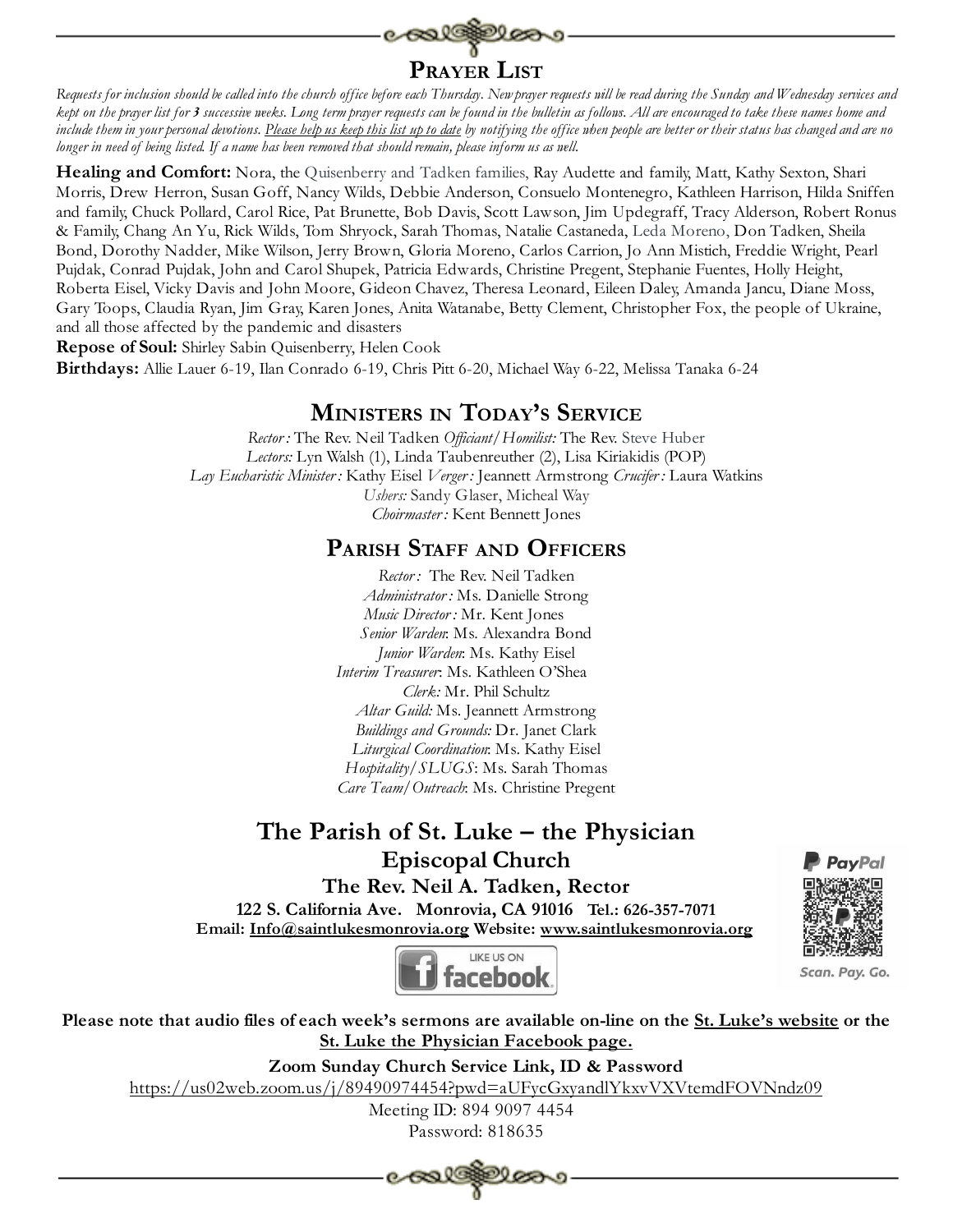

### **PRAYER LIST**

Requests for inclusion should be called into the church office before each Thursday. New prayer requests will be read during the Sunday and Wednesday services and kept on the prayer list for 3 successive weeks. Long term prayer requests can be found in the bulletin as follows. All are encouraged to take these names home and include them in your personal devotions. Please help us keep this list up to date by notifying the office when people are better or their status has changed and are no longer in need of being listed. If a name has been removed that should remain, please inform us as well.

**Healing and Comfort:** Nora, the Quisenberry and Tadken families, Ray Audette and family, Matt, Kathy Sexton, Shari Morris, Drew Herron, Susan Goff, Nancy Wilds, Debbie Anderson, Consuelo Montenegro, Kathleen Harrison, Hilda Sniffen and family, Chuck Pollard, Carol Rice, Pat Brunette, Bob Davis, Scott Lawson, Jim Updegraff, Tracy Alderson, Robert Ronus & Family, Chang An Yu, Rick Wilds, Tom Shryock, Sarah Thomas, Natalie Castaneda, Leda Moreno, Don Tadken, Sheila Bond, Dorothy Nadder, Mike Wilson, Jerry Brown, Gloria Moreno, Carlos Carrion, Jo Ann Mistich, Freddie Wright, Pearl Pujdak, Conrad Pujdak, John and Carol Shupek, Patricia Edwards, Christine Pregent, Stephanie Fuentes, Holly Height, Roberta Eisel, Vicky Davis and John Moore, Gideon Chavez, Theresa Leonard, Eileen Daley, Amanda Jancu, Diane Moss, Gary Toops, Claudia Ryan, Jim Gray, Karen Jones, Anita Watanabe, Betty Clement, Christopher Fox, the people of Ukraine, and all those affected by the pandemic and disasters

**Repose of Soul:** Shirley Sabin Quisenberry, Helen Cook

**Birthdays:** Allie Lauer 6-19, Ilan Conrado 6-19, Chris Pitt 6-20, Michael Way 6-22, Melissa Tanaka 6-24

### **MINISTERS IN TODAY'<sup>S</sup> SERVICE**

*Rector :* The Rev. Neil Tadken *Of iciant/Homilist:* The Rev. Steve Huber *Lectors:* Lyn Walsh (1), Linda Taubenreuther (2), Lisa Kiriakidis (POP) *Lay Eucharistic Minister :* Kathy Eisel *Verger :* Jeannett Armstrong *Crucifer :* Laura Watkins *Ushers:* Sandy Glaser, Micheal Way *Choirmaster :* Kent Bennett Jones

### **PARISH STAFF AND OFFICERS**

*Rector :* The Rev. Neil Tadken *Administrator :* Ms. Danielle Strong *Music Director :* Mr. Kent Jones *Senior Warden*: Ms. Alexandra Bond *Junior Warden*: Ms. Kathy Eisel *Interim Treasurer*: Ms. Kathleen O'Shea *Clerk:* Mr. Phil Schultz *Altar Guild:* Ms. Jeannett Armstrong *Buildings and Grounds:* Dr. Janet Clark *Liturgical Coordination*: Ms. Kathy Eisel *Hospitality/SLUGS*: Ms. Sarah Thomas *Care Team/Outreach*: Ms. Christine Pregent

## **The Parish of St. Luke – the Physician Episcopal Church**

**The Rev. Neil A. Tadken, Rector 122 S. California Ave. Monrovia, CA 91016 Tel.: 626-357-7071 Email: [Info@saintlukesmonrovia.org](mailto:Info@saintlukesmonrovia.org) Website: [www.saintlukesmonrovia.org](http://www.saintlukesmonrovia.org/)**



**Please note that audio files of each week's sermons are available on-line on the [St. Luke's website](http://saintlukesmonrovia.org/2020-2/) or the [St. Luke the Physician Facebook page.](https://www.facebook.com/SaintLukethePhysicianMonrovia)**

**Zoom Sunday Church Service Link, ID & Password**

<https://us02web.zoom.us/j/89490974454?pwd=aUFycGxyandlYkxvVXVtemdFOVNndz09>

Meeting ID: 894 9097 4454 Password: 818635



Scan. Pay. Go.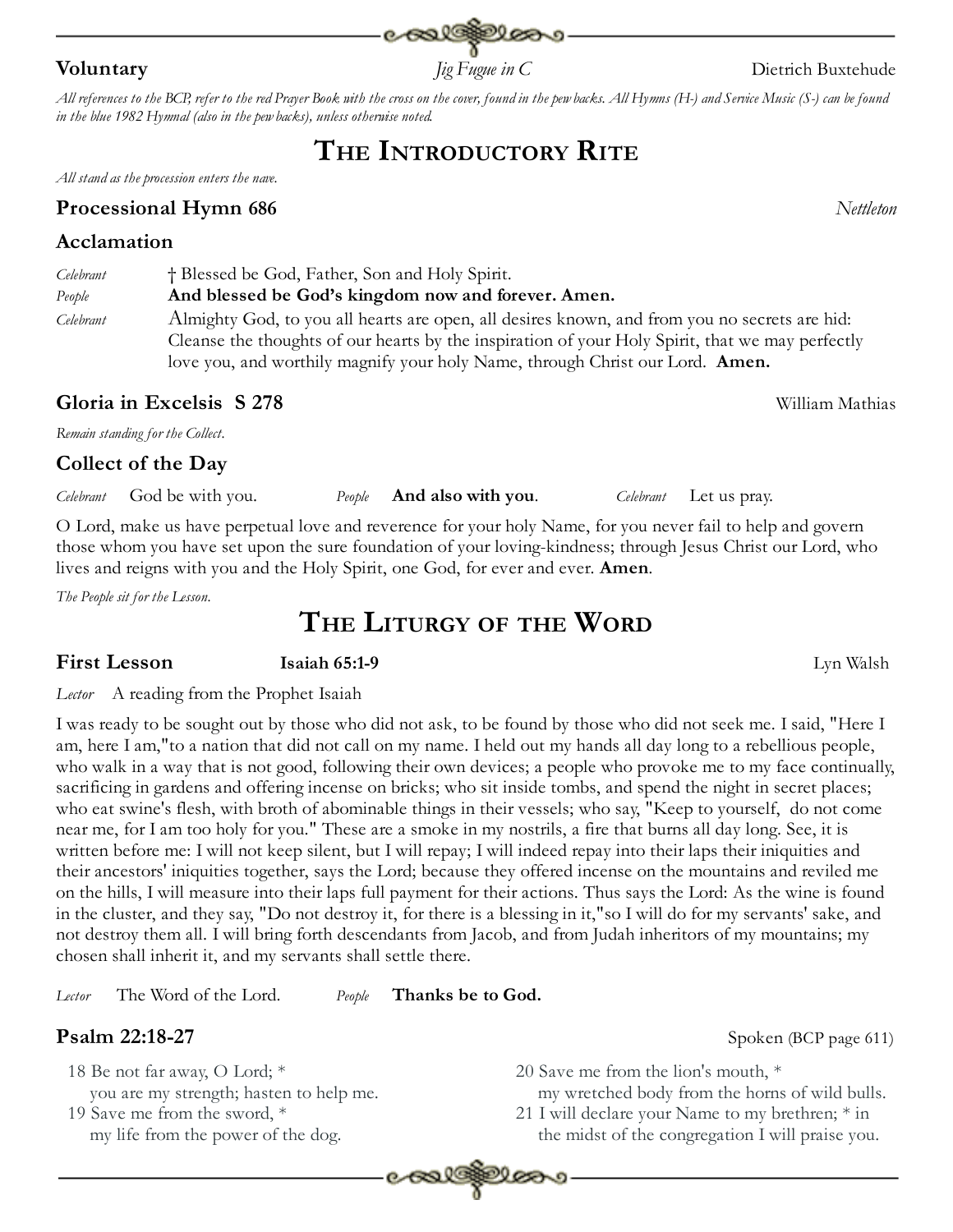### **Voluntary** *Jig Fugue in C* Dietrich Buxtehude

All references to the BCP, refer to the red Prayer Book with the cross on the cover, found in the pew backs. All Hymns (H-) and Service Music (S-) can be found *in the blue 1982 Hymnal (also in the pew backs), unless otherwise noted.*

## **THE INTRODUCTORY RITE**

*All stand as the procession enters the nave.*

### **Processional Hymn 686** *Nettleton*

### **Acclamation**

*Celebrant* † Blessed be God, Father, Son and Holy Spirit. *People* **And blessed be God's kingdom now and forever. Amen.** *Celebrant* Almighty God, to you all hearts are open, all desires known, and from you no secrets are hid: Cleanse the thoughts of our hearts by the inspiration of your Holy Spirit, that we may perfectly love you, and worthily magnify your holy Name, through Christ our Lord. **Amen.**

### **Gloria in Excelsis S 278** William Mathias

*Remain standing for the Collect.*

## **Collect of the Day**

*Celebrant* God be with you. *People* **And also with you**. *Celebrant* Let us pray.

O Lord, make us have perpetual love and reverence for your holy Name, for you never fail to help and govern those whom you have set upon the sure foundation of your loving-kindness; through Jesus Christ our Lord, who lives and reigns with you and the Holy Spirit, one God, for ever and ever. **Amen***.*

*The People sit for the Lesson.*

## **THE LITURGY OF THE WORD**

### **First Lesson Isaiah 65:1-9** Lyn Walsh

*Lector* A reading from the Prophet Isaiah

I was ready to be sought out by those who did not ask, to be found by those who did not seek me. I said, "Here I am, here I am,"to a nation that did not call on my name. I held out my hands all day long to a rebellious people, who walk in a way that is not good, following their own devices; a people who provoke me to my face continually, sacrificing in gardens and offering incense on bricks; who sit inside tombs, and spend the night in secret places; who eat swine's flesh, with broth of abominable things in their vessels; who say, "Keep to yourself, do not come near me, for I am too holy for you." These are a smoke in my nostrils, a fire that burns all day long. See, it is written before me: I will not keep silent, but I will repay; I will indeed repay into their laps their iniquities and their ancestors' iniquities together, says the Lord; because they offered incense on the mountains and reviled me on the hills, I will measure into their laps full payment for their actions. Thus says the Lord: As the wine is found in the cluster, and they say, "Do not destroy it, for there is a blessing in it,"so I will do for my servants' sake, and not destroy them all. I will bring forth descendants from Jacob, and from Judah inheritors of my mountains; my chosen shall inherit it, and my servants shall settle there.

*Lector* The Word of the Lord. *People* **Thanks be to God.**

18 Be not far away, O Lord; \*

you are my strength; hasten to help me. 19 Save me from the sword, \*

- my life from the power of the dog.
- **Psalm 22:18-27** [Spoken](https://www.dropbox.com/s/b8dpklk63ec6l9e/Psalm130.mp4?dl=0) (BCP page 611[\)](https://www.dropbox.com/s/b8dpklk63ec6l9e/Psalm130.mp4?dl=0)

20 Save me from the lion's mouth, \* my wretched body from the horns of wild bulls.

21 I will declare your Name to my brethren; \* in the midst of the congregation I will praise you.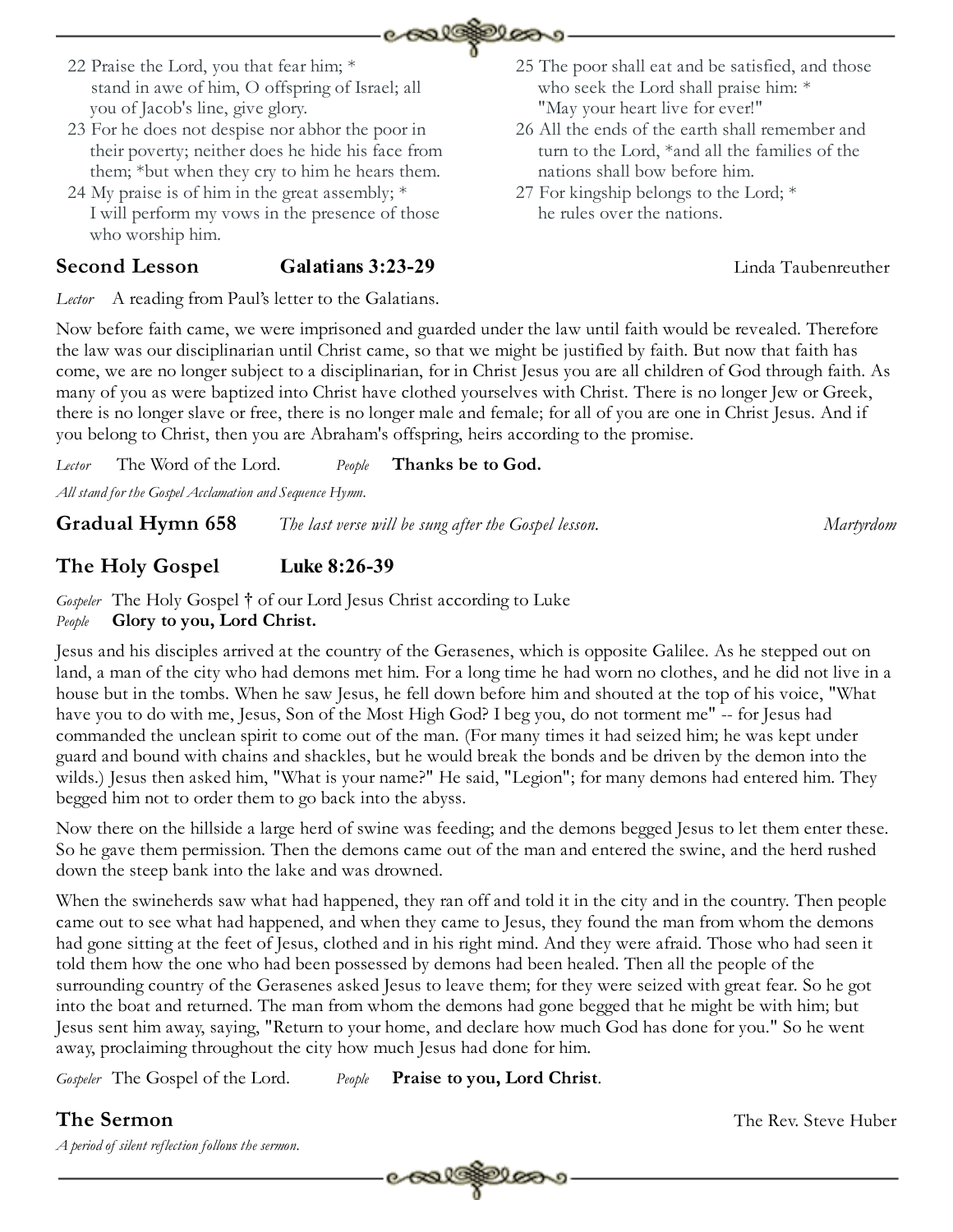

25 The poor shall eat and be satisfied, and those who seek the Lord shall praise him: \*

26 All the ends of the earth shall remember and turn to the Lord, \*and all the families of the

"May your heart live for ever!"

nations shall bow before him. 27 For kingship belongs to the Lord; \*

he rules over the nations.

- 22 Praise the Lord, you that fear him; \* stand in awe of him, O offspring of Israel; all you of Jacob's line, give glory.
- 23 For he does not despise nor abhor the poor in their poverty; neither does he hide his face from them; \*but when they cry to him he hears them.
- 24 My praise is of him in the great assembly; \* I will perform my vows in the presence of those who worship him.

### **Second Lesson Galatians 3:23-29** Linda Taubenreuther

*Lector* A reading from Paul's letter to the Galatians.

Now before faith came, we were imprisoned and guarded under the law until faith would be revealed. Therefore the law was our disciplinarian until Christ came, so that we might be justified by faith. But now that faith has come, we are no longer subject to a disciplinarian, for in Christ Jesus you are all children of God through faith. As many of you as were baptized into Christ have clothed yourselves with Christ. There is no longer Jew or Greek, there is no longer slave or free, there is no longer male and female; for all of you are one in Christ Jesus. And if you belong to Christ, then you are Abraham's offspring, heirs according to the promise.

*Lector* The Word of the Lord. *People* **Thanks be to God.**

*All stand for the Gospel Acclamation and Sequence Hymn.*

**Gradual Hymn 658** *The last verse will be sung after the Gospel lesson. Martyrdom*

## **The Holy Gospel Luke 8:26-39**

*Gospeler* The Holy Gospel † of our Lord Jesus Christ according to Luke *People* **Glory to you, Lord Christ.**

Jesus and his disciples arrived at the country of the Gerasenes, which is opposite Galilee. As he stepped out on land, a man of the city who had demons met him. For a long time he had worn no clothes, and he did not live in a house but in the tombs. When he saw Jesus, he fell down before him and shouted at the top of his voice, "What have you to do with me, Jesus, Son of the Most High God? I beg you, do not torment me" -- for Jesus had commanded the unclean spirit to come out of the man. (For many times it had seized him; he was kept under guard and bound with chains and shackles, but he would break the bonds and be driven by the demon into the wilds.) Jesus then asked him, "What is your name?" He said, "Legion"; for many demons had entered him. They begged him not to order them to go back into the abyss.

Now there on the hillside a large herd of swine was feeding; and the demons begged Jesus to let them enter these. So he gave them permission. Then the demons came out of the man and entered the swine, and the herd rushed down the steep bank into the lake and was drowned.

When the swineherds saw what had happened, they ran off and told it in the city and in the country. Then people came out to see what had happened, and when they came to Jesus, they found the man from whom the demons had gone sitting at the feet of Jesus, clothed and in his right mind. And they were afraid. Those who had seen it told them how the one who had been possessed by demons had been healed. Then all the people of the surrounding country of the Gerasenes asked Jesus to leave them; for they were seized with great fear. So he got into the boat and returned. The man from whom the demons had gone begged that he might be with him; but Jesus sent him away, saying, "Return to your home, and declare how much God has done for you." So he went away, proclaiming throughout the city how much Jesus had done for him.

*Gospeler* The Gospel of the Lord. *People* **Praise to you, Lord Christ**.

*A period of silent reflection follows the sermon.*

**The Sermon** The Rev. Steve Huber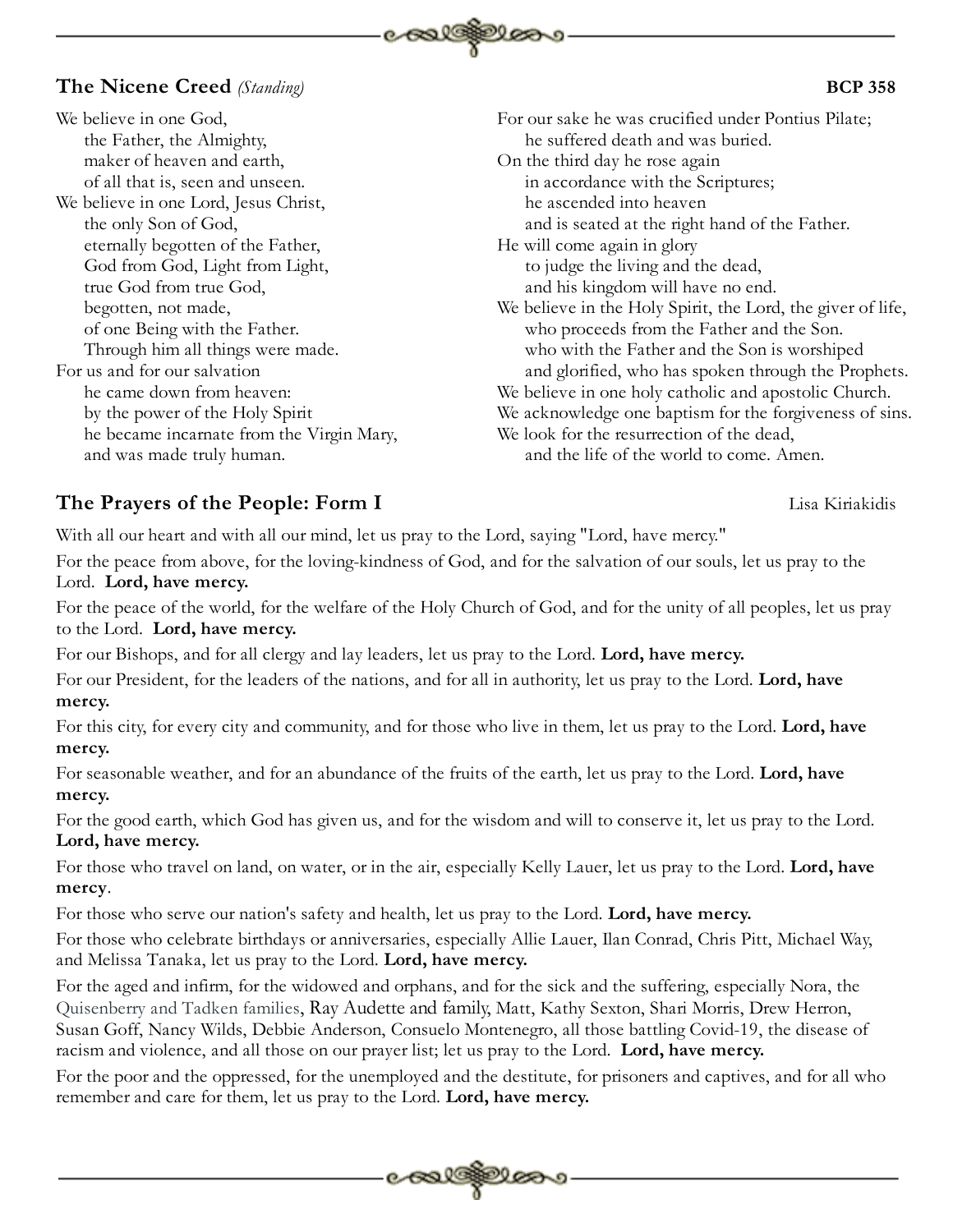### **The Nicene Creed** *(Standing)* **BCP 358**

We believe in one God, the Father, the Almighty, maker of heaven and earth, of all that is, seen and unseen. We believe in one Lord, Jesus Christ, the only Son of God, eternally begotten of the Father, God from God, Light from Light, true God from true God, begotten, not made, of one Being with the Father. Through him all things were made. For us and for our salvation he came down from heaven: by the power of the Holy Spirit he became incarnate from the Virgin Mary, and was made truly human.

For our sake he was crucified under Pontius Pilate; he suffered death and was buried. On the third day he rose again in accordance with the Scriptures; he ascended into heaven and is seated at the right hand of the Father. He will come again in glory to judge the living and the dead, and his kingdom will have no end. We believe in the Holy Spirit, the Lord, the giver of life, who proceeds from the Father and the Son. who with the Father and the Son is worshiped and glorified, who has spoken through the Prophets. We believe in one holy catholic and apostolic Church. We acknowledge one baptism for the forgiveness of sins. We look for the resurrection of the dead, and the life of the world to come. Amen.

### **The Prayers of the People: Form I** Lisa Kiriakidis

With all our heart and with all our mind, let us pray to the Lord, saying "Lord, have mercy."

For the peace from above, for the loving-kindness of God, and for the salvation of our souls, let us pray to the Lord. **Lord, have mercy.**

For the peace of the world, for the welfare of the Holy Church of God, and for the unity of all peoples, let us pray to the Lord. **Lord, have mercy.**

For our Bishops, and for all clergy and lay leaders, let us pray to the Lord. **Lord, have mercy.**

For our President, for the leaders of the nations, and for all in authority, let us pray to the Lord. **Lord, have mercy.**

For this city, for every city and community, and for those who live in them, let us pray to the Lord. **Lord, have mercy.**

For seasonable weather, and for an abundance of the fruits of the earth, let us pray to the Lord. **Lord, have mercy.**

For the good earth, which God has given us, and for the wisdom and will to conserve it, let us pray to the Lord. **Lord, have mercy.**

For those who travel on land, on water, or in the air, especially Kelly Lauer, let us pray to the Lord. **Lord, have mercy**.

For those who serve our nation's safety and health, let us pray to the Lord. **Lord, have mercy.**

For those who celebrate birthdays or anniversaries, especially Allie Lauer, Ilan Conrad, Chris Pitt, Michael Way, and Melissa Tanaka, let us pray to the Lord. **Lord, have mercy.**

For the aged and infirm, for the widowed and orphans, and for the sick and the suffering, especially Nora, the Quisenberry and Tadken families, Ray Audette and family, Matt, Kathy Sexton, Shari Morris, Drew Herron, Susan Goff, Nancy Wilds, Debbie Anderson, Consuelo Montenegro, all those battling Covid-19, the disease of racism and violence, and all those on our prayer list; let us pray to the Lord. **Lord, have mercy.**

For the poor and the oppressed, for the unemployed and the destitute, for prisoners and captives, and for all who remember and care for them, let us pray to the Lord. **Lord, have mercy.**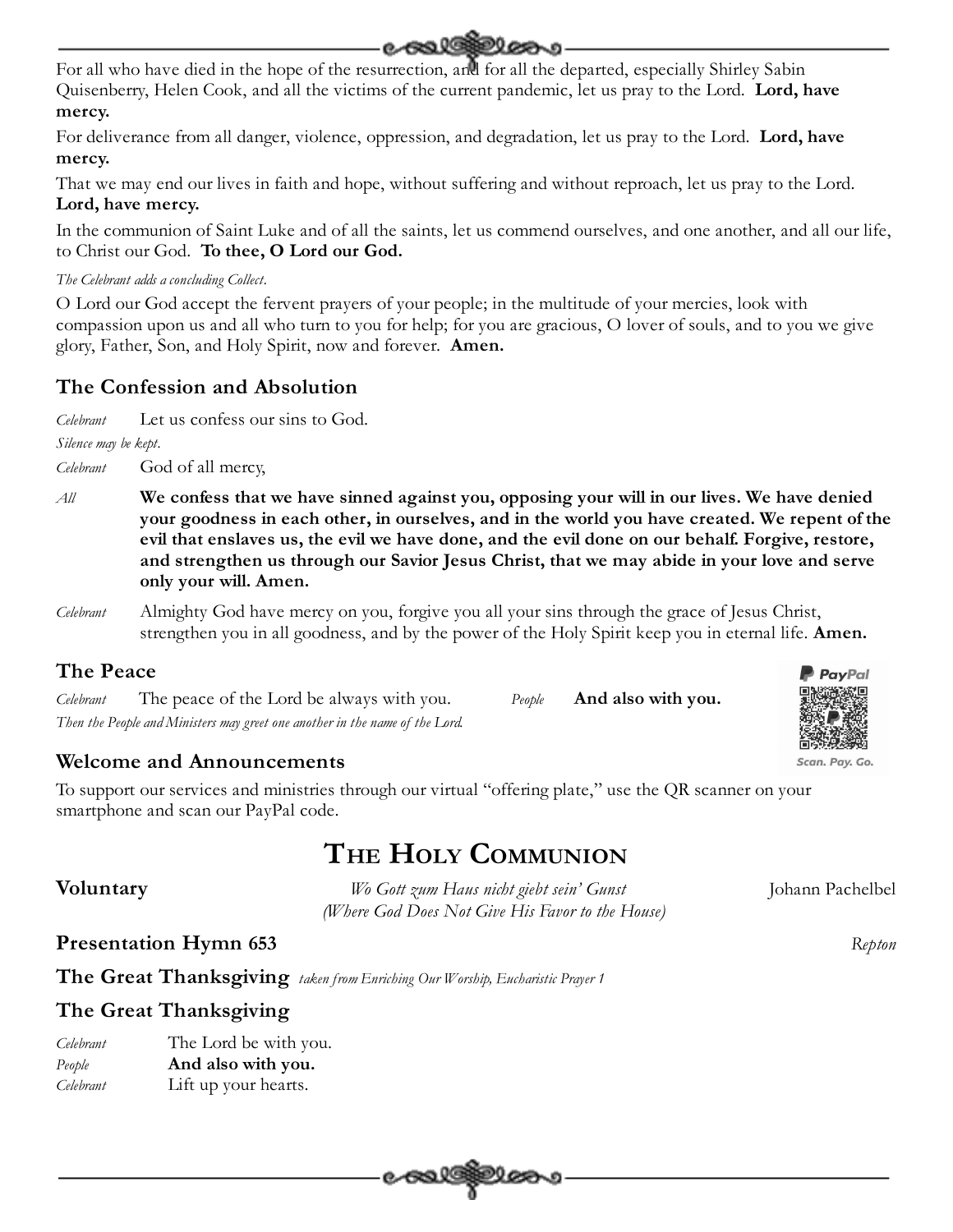

For all who have died in the hope of the resurrection, and for all the departed, especially Shirley Sabin Quisenberry, Helen Cook, and all the victims of the current pandemic, let us pray to the Lord. **Lord, have mercy.**

For deliverance from all danger, violence, oppression, and degradation, let us pray to the Lord. **Lord, have mercy.**

That we may end our lives in faith and hope, without suffering and without reproach, let us pray to the Lord. **Lord, have mercy.**

In the communion of Saint Luke and of all the saints, let us commend ourselves, and one another, and all our life, to Christ our God. **To thee, O Lord our God.**

### *The Celebrant adds a concluding Collect.*

O Lord our God accept the fervent prayers of your people; in the multitude of your mercies, look with compassion upon us and all who turn to you for help; for you are gracious, O lover of souls, and to you we give glory, Father, Son, and Holy Spirit, now and forever. **Amen.**

### **The Confession and Absolution**

*Celebrant* Let us confess our sins to God.

*Silence may be kept.*

*Celebrant* God of all mercy,

- *All* **We confess that we have sinned against you, opposing your will in our lives. We have denied your goodness in each other, in ourselves, and in the world you have created. We repent of the evil that enslaves us, the evil we have done, and the evil done on our behalf. Forgive, restore, and strengthen us through our Savior Jesus Christ, that we may abide in your love and serve only your will. Amen.**
- *Celebrant* Almighty God have mercy on you, forgive you all your sins through the grace of Jesus Christ, strengthen you in all goodness, and by the power of the Holy Spirit keep you in eternal life. **Amen.**

### **The Peace**

*Celebrant* The peace of the Lord be always with you. *People* **And also with you.** *Then the People and Ministers may greet one another in the name of the Lord.*

### **Welcome and Announcements**

To support our services and ministries through our virtual "offering plate," use the QR scanner on your smartphone and scan our PayPal code.

## **THE HOLY COMMUNION**

**Voluntary** *Wo Gott zum Haus nicht giebt sein' Gunst* Johann Pachelbel *(Where God Does Not Give His Favor to the House)*

### **Presentation Hymn 653** *Repton*

**The Great Thanksgiving** *taken from Enriching Our Worship, Eucharistic Prayer 1*

### **The Great Thanksgiving**

*Celebrant* The Lord be with you. *People* **And also with you.** *Celebrant* Lift up your hearts.



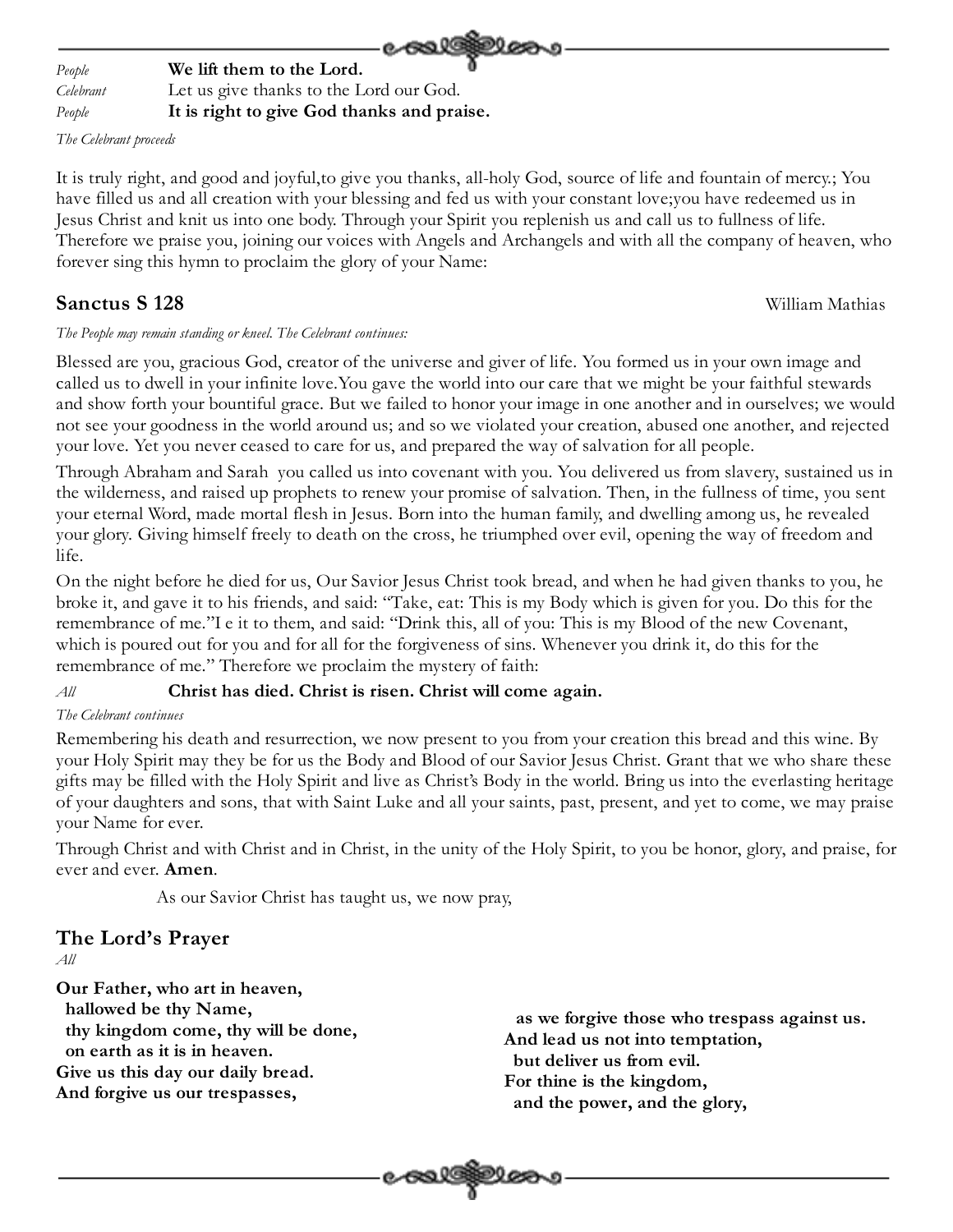### *People* **We lift them to the Lord.**

*Celebrant* Let us give thanks to the Lord our God. *People* **It is right to give God thanks and praise.**

### *The Celebrant proceeds*

It is truly right, and good and joyful,to give you thanks, all-holy God, source of life and fountain of mercy.; You have filled us and all creation with your blessing and fed us with your constant love;you have redeemed us in Jesus Christ and knit us into one body. Through your Spirit you replenish us and call us to fullness of life. Therefore we praise you, joining our voices with Angels and Archangels and with all the company of heaven, who forever sing this hymn to proclaim the glory of your Name:

### **Sanctus S 128** William Mathias

### *The People may remain standing or kneel. The Celebrant continues:*

Blessed are you, gracious God, creator of the universe and giver of life. You formed us in your own image and called us to dwell in your infinite love.You gave the world into our care that we might be your faithful stewards and show forth your bountiful grace. But we failed to honor your image in one another and in ourselves; we would not see your goodness in the world around us; and so we violated your creation, abused one another, and rejected your love. Yet you never ceased to care for us, and prepared the way of salvation for all people.

Through Abraham and Sarah you called us into covenant with you. You delivered us from slavery, sustained us in the wilderness, and raised up prophets to renew your promise of salvation. Then, in the fullness of time, you sent your eternal Word, made mortal flesh in Jesus. Born into the human family, and dwelling among us, he revealed your glory. Giving himself freely to death on the cross, he triumphed over evil, opening the way of freedom and life.

On the night before he died for us, Our Savior Jesus Christ took bread, and when he had given thanks to you, he broke it, and gave it to his friends, and said: "Take, eat: This is my Body which is given for you. Do this for the remembrance of me."I e it to them, and said: "Drink this, all of you: This is my Blood of the new Covenant, which is poured out for you and for all for the forgiveness of sins. Whenever you drink it, do this for the remembrance of me." Therefore we proclaim the mystery of faith:

### *All* **Christ has died. Christ is risen. Christ will come again.**

### *The Celebrant continues*

Remembering his death and resurrection, we now present to you from your creation this bread and this wine. By your Holy Spirit may they be for us the Body and Blood of our Savior Jesus Christ. Grant that we who share these gifts may be filled with the Holy Spirit and live as Christ's Body in the world. Bring us into the everlasting heritage of your daughters and sons, that with Saint Luke and all your saints, past, present, and yet to come, we may praise your Name for ever.

Through Christ and with Christ and in Christ, in the unity of the Holy Spirit, to you be honor, glory, and praise, for ever and ever. **Amen**.

As our Savior Christ has taught us, we now pray,

### **The Lord's Prayer**

*All*

**Our Father, who art in heaven, hallowed be thy Name, thy kingdom come, thy will be done, on earth as it is in heaven. Give us this day our daily bread. And forgive us our trespasses,**

**as we forgive those who trespass against us. And lead us not into temptation, but deliver us from evil. For thine is the kingdom, and the power, and the glory,**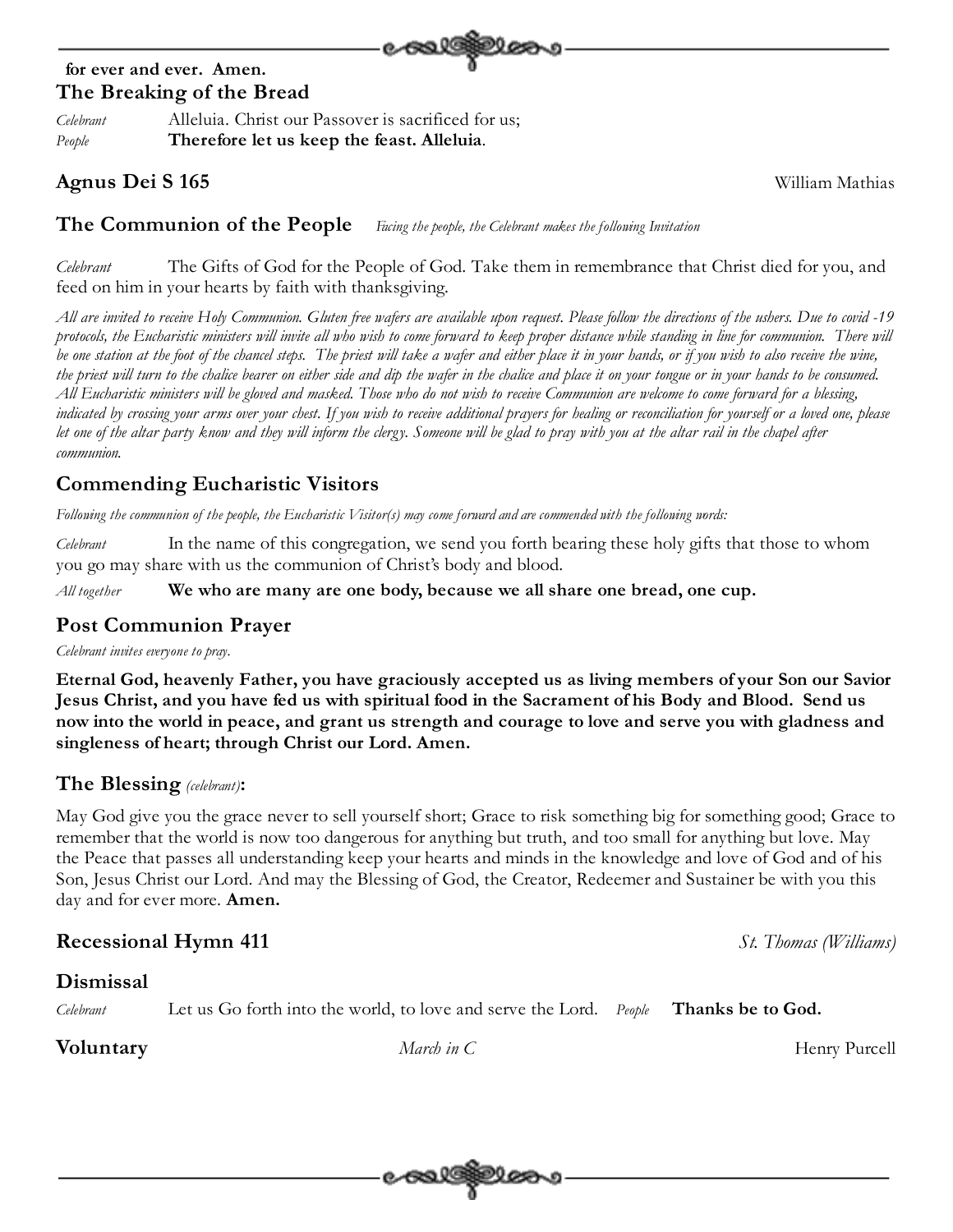### **for ever and ever. Amen. The Breaking of the Bread**

*Celebrant* Alleluia. Christ our Passover is sacrificed for us; *People* **Therefore let us keep the feast. Alleluia**.

### **Agnus Dei S 165** William Mathias

### **The Communion of the People** *Facing the people, the Celebrant makes the following Invitation*

*Celebrant* The Gifts of God for the People of God. Take them in remembrance that Christ died for you, and feed on him in your hearts by faith with thanksgiving.

ನಾಗಿತ

All are invited to receive Holy Communion. Gluten free wafers are available upon request. Please follow the directions of the ushers. Due to covid -19 protocols, the Eucharistic ministers will invite all who wish to come forward to keep proper distance while standing in line for communion. There will be one station at the foot of the chancel steps. The priest will take a wafer and either place it in your hands, or if you wish to also receive the wine, the priest will turn to the chalice bearer on either side and dip the wafer in the chalice and place it on your tongue or in your hands to be consumed. All Eucharistic ministers will be gloved and masked. Those who do not wish to receive Communion are welcome to come forward for a blessing, indicated by crossing your arms over your chest. If you wish to receive additional prayers for healing or reconciliation for yourself or a loved one, please let one of the altar party know and they will inform the clergy. Someone will be glad to pray with you at the altar rail in the chapel after *communion.*

### **Commending Eucharistic Visitors**

Folloning the communion of the people, the Eucharistic Visitor(s) may come forward and are commended with the folloning words:

*Celebrant* In the name of this congregation, we send you forth bearing these holy gifts that those to whom you go may share with us the communion of Christ's body and blood.

*All together* **We who are many are one body, because we all share one bread, one cup.**

### **Post Communion Prayer**

*Celebrant invites everyone to pray.*

**Eternal God, heavenly Father, you have graciously accepted us as living members of your Son our Savior Jesus Christ, and you have fed us with spiritual food in the Sacrament of his Body and Blood. Send us now into the world in peace, and grant us strength and courage to love and serve you with gladness and singleness of heart; through Christ our Lord. Amen.**

### **The Blessing** *(celebrant)***:**

May God give you the grace never to sell yourself short; Grace to risk something big for something good; Grace to remember that the world is now too dangerous for anything but truth, and too small for anything but love. May the Peace that passes all understanding keep your hearts and minds in the knowledge and love of God and of his Son, Jesus Christ our Lord. And may the Blessing of God, the Creator, Redeemer and Sustainer be with you this day and for ever more. **Amen.**

### **Recessional Hymn 411** *St. Thomas (Williams)*

### **Dismissal**

| Celebrant | Let us Go forth into the world, to love and serve the Lord. People Thanks be to God. |  |  |
|-----------|--------------------------------------------------------------------------------------|--|--|
|-----------|--------------------------------------------------------------------------------------|--|--|

**Voluntary** *March in C* Henry Purcell